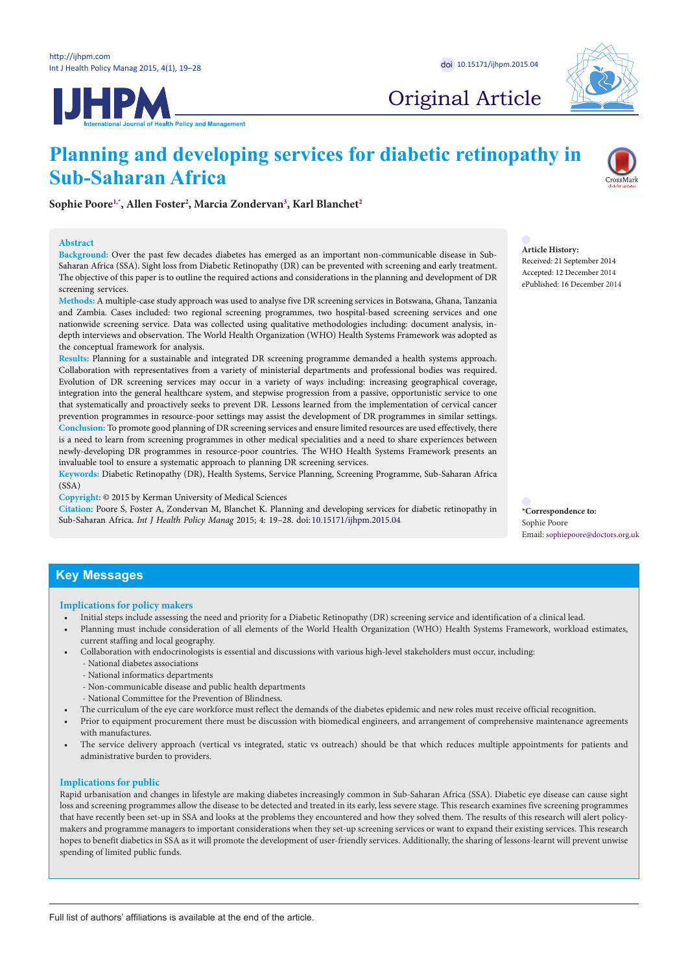

# Original Article

# **JHPM**

# **Planning and developing services for diabetic retinopathy in Sub-Saharan Africa**



**Sophie Poore[1,](#page-8-0)[\\*](#page-0-0) , Allen Foste[r2](#page-8-1) , Marcia Zondervan[3](#page-8-2) , Karl Blanchet[2](#page-8-1)**

#### **Abstract**

**Background:** Over the past few decades diabetes has emerged as an important non-communicable disease in Sub-Saharan Africa (SSA). Sight loss from Diabetic Retinopathy (DR) can be prevented with screening and early treatment. The objective of this paper is to outline the required actions and considerations in the planning and development of DR screening services.

**Methods:** A multiple-case study approach was used to analyse five DR screening services in Botswana, Ghana, Tanzania and Zambia. Cases included: two regional screening programmes, two hospital-based screening services and one nationwide screening service. Data was collected using qualitative methodologies including: document analysis, indepth interviews and observation. The World Health Organization (WHO) Health Systems Framework was adopted as the conceptual framework for analysis.

**Results:** Planning for a sustainable and integrated DR screening programme demanded a health systems approach. Collaboration with representatives from a variety of ministerial departments and professional bodies was required. Evolution of DR screening services may occur in a variety of ways including: increasing geographical coverage, integration into the general healthcare system, and stepwise progression from a passive, opportunistic service to one that systematically and proactively seeks to prevent DR. Lessons learned from the implementation of cervical cancer prevention programmes in resource-poor settings may assist the development of DR programmes in similar settings. **Conclusion:** To promote good planning of DR screening services and ensure limited resources are used effectively, there is a need to learn from screening programmes in other medical specialities and a need to share experiences between newly-developing DR programmes in resource-poor countries. The WHO Health Systems Framework presents an invaluable tool to ensure a systematic approach to planning DR screening services.

**Keywords:** Diabetic Retinopathy (DR), Health Systems, Service Planning, Screening Programme, Sub-Saharan Africa  $(SSA)$ 

**Copyright:** © 2015 by Kerman University of Medical Sciences

**Citation:** Poore S, Foster A, Zondervan M, Blanchet K. Planning and developing services for diabetic retinopathy in Sub-Saharan Africa. *Int J Health Policy Manag* 2015; 4: 19–28. doi: [10.15171/ijhpm.2015.04](http://dx.doi.org/10.15171/ijhpm.2015.04)

#### **Article History:**

Received: 21 September 2014 Accepted: 12 December 2014 ePublished: 16 December 2014

<span id="page-0-0"></span>**\*Correspondence to:** Sophie Poore Email: sophiepoore@doctors.org.uk

# **Key Messages**

**Implications for policy makers**

- Initial steps include assessing the need and priority for a Diabetic Retinopathy (DR) screening service and identification of a clinical lead.
- Planning must include consideration of all elements of the World Health Organization (WHO) Health Systems Framework, workload estimates, current staffing and local geography.
- Collaboration with endocrinologists is essential and discussions with various high-level stakeholders must occur, including:
	- National diabetes associations
	- National informatics departments
	- Non-communicable disease and public health departments
	- National Committee for the Prevention of Blindness.
- The curriculum of the eye care workforce must reflect the demands of the diabetes epidemic and new roles must receive official recognition.
- Prior to equipment procurement there must be discussion with biomedical engineers, and arrangement of comprehensive maintenance agreements with manufactures.
- The service delivery approach (vertical vs integrated, static vs outreach) should be that which reduces multiple appointments for patients and administrative burden to providers.

#### **Implications for public**

Rapid urbanisation and changes in lifestyle are making diabetes increasingly common in Sub-Saharan Africa (SSA). Diabetic eye disease can cause sight loss and screening programmes allow the disease to be detected and treated in its early, less severe stage. This research examines five screening programmes that have recently been set-up in SSA and looks at the problems they encountered and how they solved them. The results of this research will alert policymakers and programme managers to important considerations when they set-up screening services or want to expand their existing services. This research hopes to benefit diabetics in SSA as it will promote the development of user-friendly services. Additionally, the sharing of lessons-learnt will prevent unwise spending of limited public funds.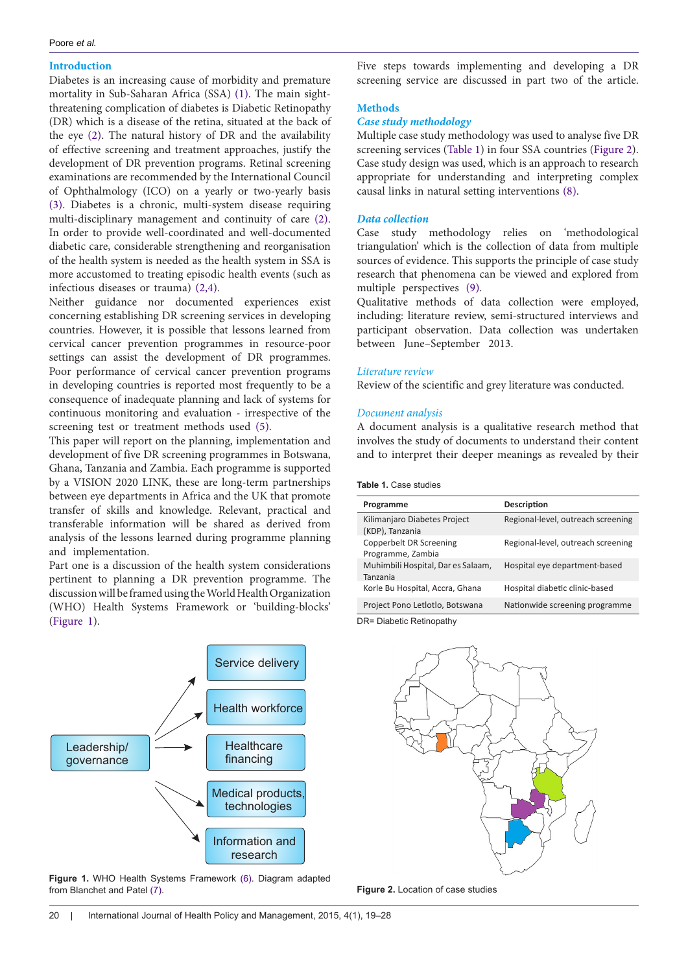# **Introduction**

Diabetes is an increasing cause of morbidity and premature mortality in Sub-Saharan Africa (SSA) ([1](#page-8-3)). The main sightthreatening complication of diabetes is Diabetic Retinopathy (DR) which is a disease of the retina, situated at the back of the eye [\(2](#page-8-4)). The natural history of DR and the availability of effective screening and treatment approaches, justify the development of DR prevention programs. Retinal screening examinations are recommended by the International Council of Ophthalmology (ICO) on a yearly or two-yearly basis ([3\)](#page-8-5). Diabetes is a chronic, multi-system disease requiring multi-disciplinary management and continuity of care ([2](#page-8-4)). In order to provide well-coordinated and well-documented diabetic care, considerable strengthening and reorganisation of the health system is needed as the health system in SSA is more accustomed to treating episodic health events (such as infectious diseases or trauma) ([2](#page-8-4),[4\)](#page-8-6).

Neither guidance nor documented experiences exist concerning establishing DR screening services in developing countries. However, it is possible that lessons learned from cervical cancer prevention programmes in resource-poor settings can assist the development of DR programmes. Poor performance of cervical cancer prevention programs in developing countries is reported most frequently to be a consequence of inadequate planning and lack of systems for continuous monitoring and evaluation - irrespective of the screening test or treatment methods used ([5](#page-8-7)).

This paper will report on the planning, implementation and development of five DR screening programmes in Botswana, Ghana, Tanzania and Zambia. Each programme is supported by a VISION 2020 LINK, these are long-term partnerships between eye departments in Africa and the UK that promote transfer of skills and knowledge. Relevant, practical and transferable information will be shared as derived from analysis of the lessons learned during programme planning and implementation.

Part one is a discussion of the health system considerations pertinent to planning a DR prevention programme. The discussion will be framed using the World Health Organization (WHO) Health Systems Framework or 'building-blocks' ([Figure 1\)](#page-1-0).

<span id="page-1-0"></span>

**Figure 1.** WHO Health Systems Framework ([6](#page-8-8)). Diagram adapted from Blanchet and Patel ([7](#page-9-2)).

Five steps towards implementing and developing a DR screening service are discussed in part two of the article.

# **Methods**

# *Case study methodology*

Multiple case study methodology was used to analyse five DR screening services [\(Table 1\)](#page-1-1) in four SSA countries ([Figure 2](#page-1-2)). Case study design was used, which is an approach to research appropriate for understanding and interpreting complex causal links in natural setting interventions ([8](#page-9-0)).

#### *Data collection*

Case study methodology relies on 'methodological triangulation' which is the collection of data from multiple sources of evidence. This supports the principle of case study research that phenomena can be viewed and explored from multiple perspectives ([9\)](#page-9-1).

Qualitative methods of data collection were employed, including: literature review, semi-structured interviews and participant observation. Data collection was undertaken between June–September 2013.

#### *Literature review*

Review of the scientific and grey literature was conducted.

#### *Document analysis*

A document analysis is a qualitative research method that involves the study of documents to understand their content and to interpret their deeper meanings as revealed by their

<span id="page-1-1"></span>**Table 1.** Case studies

| Programme                                       | <b>Description</b>                 |
|-------------------------------------------------|------------------------------------|
| Kilimanjaro Diabetes Project<br>(KDP), Tanzania | Regional-level, outreach screening |
| Copperbelt DR Screening<br>Programme, Zambia    | Regional-level, outreach screening |
| Muhimbili Hospital, Dar es Salaam,<br>Tanzania  | Hospital eye department-based      |
| Korle Bu Hospital, Accra, Ghana                 | Hospital diabetic clinic-based     |
| Project Pono Letlotlo, Botswana                 | Nationwide screening programme     |

DR= Diabetic Retinopathy

<span id="page-1-2"></span>

**Figure 2.** Location of case studies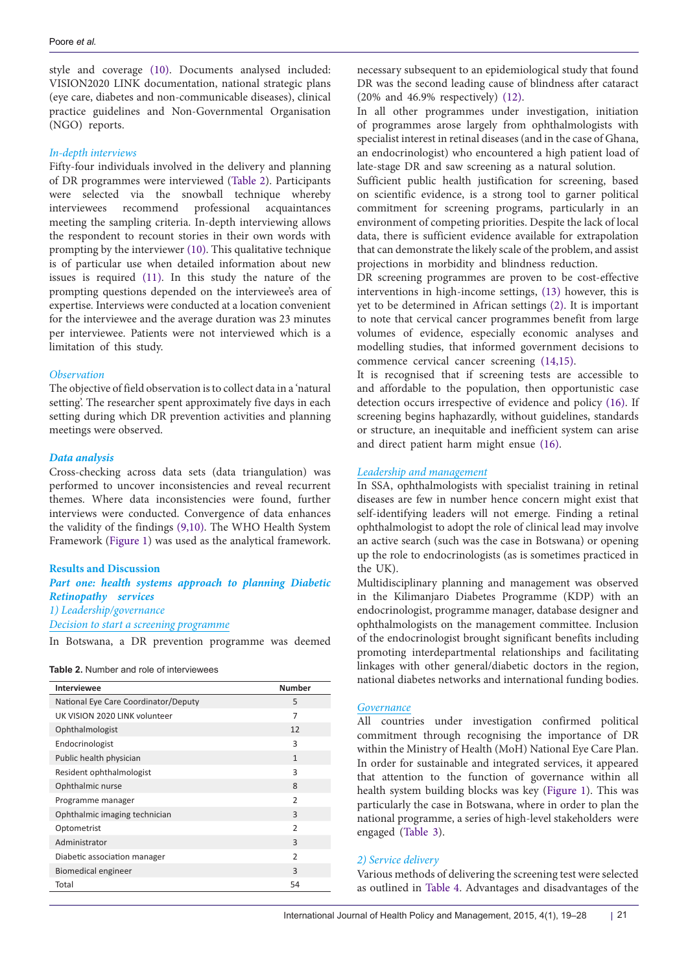style and coverage [\(10\)](#page-9-3). Documents analysed included: VISION2020 LINK documentation, national strategic plans (eye care, diabetes and non-communicable diseases), clinical practice guidelines and Non-Governmental Organisation (NGO) reports.

#### *In-depth interviews*

Fifty-four individuals involved in the delivery and planning of DR programmes were interviewed [\(Table 2\)](#page-2-0). Participants were selected via the snowball technique whereby interviewees recommend professional acquaintances meeting the sampling criteria. In-depth interviewing allows the respondent to recount stories in their own words with prompting by the interviewer [\(10\)](#page-9-3). This qualitative technique is of particular use when detailed information about new issues is required ([11](#page-9-4)). In this study the nature of the prompting questions depended on the interviewee's area of expertise. Interviews were conducted at a location convenient for the interviewee and the average duration was 23 minutes per interviewee. Patients were not interviewed which is a limitation of this study.

# *Observation*

The objective of field observation is to collect data in a 'natural setting'. The researcher spent approximately five days in each setting during which DR prevention activities and planning meetings were observed.

#### *Data analysis*

Cross-checking across data sets (data triangulation) was performed to uncover inconsistencies and reveal recurrent themes. Where data inconsistencies were found, further interviews were conducted. Convergence of data enhances the validity of the findings ([9](#page-9-1),[10](#page-9-3)). The WHO Health System Framework ([Figure 1\)](#page-1-0) was used as the analytical framework.

# **Results and Discussion**

# *Part one: health systems approach to planning Diabetic Retinopathy services 1) Leadership/governance*

#### *Decision to start a screening programme*

In Botswana, a DR prevention programme was deemed

<span id="page-2-0"></span>**Table 2.** Number and role of interviewees

| <b>Interviewee</b>                   | <b>Number</b>            |
|--------------------------------------|--------------------------|
| National Eye Care Coordinator/Deputy | 5                        |
| UK VISION 2020 LINK volunteer        | $\overline{7}$           |
| Ophthalmologist                      | 12                       |
| Endocrinologist                      | $\overline{\mathcal{L}}$ |
| Public health physician              | $\mathbf{1}$             |
| Resident ophthalmologist             | $\overline{\mathcal{L}}$ |
| Ophthalmic nurse                     | 8                        |
| Programme manager                    | $\mathfrak{p}$           |
| Ophthalmic imaging technician        | $\mathbf{R}$             |
| Optometrist                          | $\mathfrak{D}$           |
| Administrator                        | $\mathbf{R}$             |
| Diabetic association manager         | $\mathfrak{D}$           |
| Biomedical engineer                  | $\overline{\mathcal{L}}$ |
| Total                                | 54                       |

necessary subsequent to an epidemiological study that found DR was the second leading cause of blindness after cataract (20% and 46.9% respectively) [\(12](#page-9-5)).

In all other programmes under investigation, initiation of programmes arose largely from ophthalmologists with specialist interest in retinal diseases (and in the case of Ghana, an endocrinologist) who encountered a high patient load of late-stage DR and saw screening as a natural solution.

Sufficient public health justification for screening, based on scientific evidence, is a strong tool to garner political commitment for screening programs, particularly in an environment of competing priorities. Despite the lack of local data, there is sufficient evidence available for extrapolation that can demonstrate the likely scale of the problem, and assist projections in morbidity and blindness reduction.

DR screening programmes are proven to be cost-effective interventions in high-income settings, [\(13\)](#page-9-6) however, this is yet to be determined in African settings ([2](#page-8-4)). It is important to note that cervical cancer programmes benefit from large volumes of evidence, especially economic analyses and modelling studies, that informed government decisions to commence cervical cancer screening ([14](#page-9-7)[,15](#page-9-8)).

It is recognised that if screening tests are accessible to and affordable to the population, then opportunistic case detection occurs irrespective of evidence and policy ([16\)](#page-9-9). If screening begins haphazardly, without guidelines, standards or structure, an inequitable and inefficient system can arise and direct patient harm might ensue ([16](#page-9-9)).

# *Leadership and management*

In SSA, ophthalmologists with specialist training in retinal diseases are few in number hence concern might exist that self-identifying leaders will not emerge. Finding a retinal ophthalmologist to adopt the role of clinical lead may involve an active search (such was the case in Botswana) or opening up the role to endocrinologists (as is sometimes practiced in the UK).

Multidisciplinary planning and management was observed in the Kilimanjaro Diabetes Programme (KDP) with an endocrinologist, programme manager, database designer and ophthalmologists on the management committee. Inclusion of the endocrinologist brought significant benefits including promoting interdepartmental relationships and facilitating linkages with other general/diabetic doctors in the region, national diabetes networks and international funding bodies.

# *Governance*

All countries under investigation confirmed political commitment through recognising the importance of DR within the Ministry of Health (MoH) National Eye Care Plan. In order for sustainable and integrated services, it appeared that attention to the function of governance within all health system building blocks was key [\(Figure 1](#page-1-0)). This was particularly the case in Botswana, where in order to plan the national programme, a series of high-level stakeholders were engaged (Table 3).

#### *2) Service delivery*

Various methods of delivering the screening test were selected as outlined in [Table 4.](#page-3-0) Advantages and disadvantages of the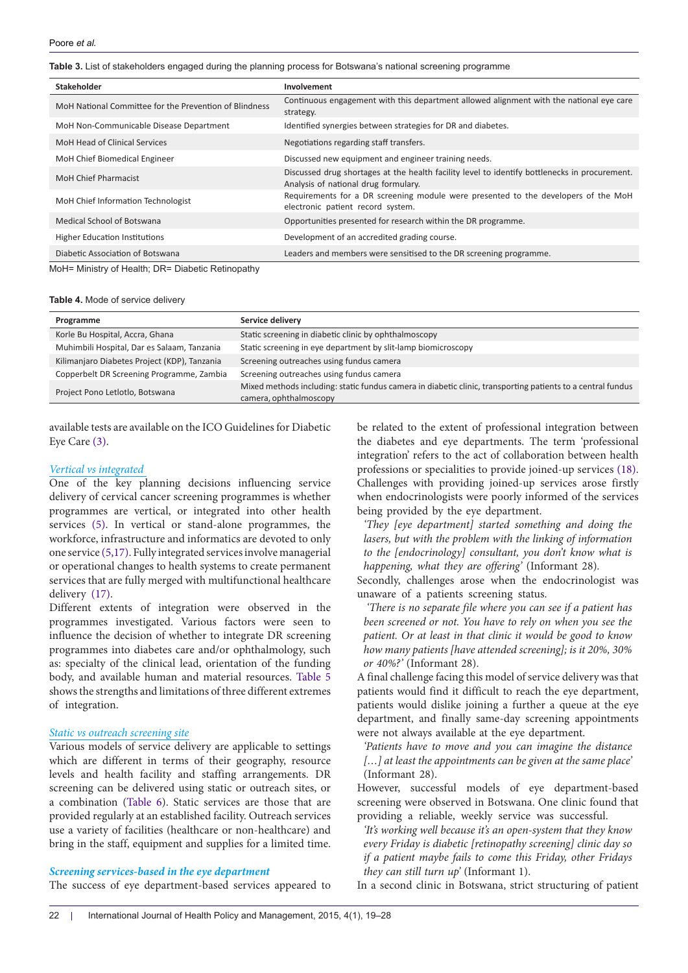**Table 3.** List of stakeholders engaged during the planning process for Botswana's national screening programme

| <b>Stakeholder</b>                                     | Involvement                                                                                                                           |
|--------------------------------------------------------|---------------------------------------------------------------------------------------------------------------------------------------|
| MoH National Committee for the Prevention of Blindness | Continuous engagement with this department allowed alignment with the national eye care<br>strategy.                                  |
| MoH Non-Communicable Disease Department                | Identified synergies between strategies for DR and diabetes.                                                                          |
| <b>MoH Head of Clinical Services</b>                   | Negotiations regarding staff transfers.                                                                                               |
| MoH Chief Biomedical Engineer                          | Discussed new equipment and engineer training needs.                                                                                  |
| MoH Chief Pharmacist                                   | Discussed drug shortages at the health facility level to identify bottlenecks in procurement.<br>Analysis of national drug formulary. |
| MoH Chief Information Technologist                     | Requirements for a DR screening module were presented to the developers of the MoH<br>electronic patient record system.               |
| Medical School of Botswana                             | Opportunities presented for research within the DR programme.                                                                         |
| <b>Higher Education Institutions</b>                   | Development of an accredited grading course.                                                                                          |
| Diabetic Association of Botswana                       | Leaders and members were sensitised to the DR screening programme.                                                                    |
| MoH= Ministry of Health; DR= Diabetic Retinopathy      |                                                                                                                                       |

<span id="page-3-0"></span>**Table 4.** Mode of service delivery

| Programme                                    | Service delivery                                                                                                                      |
|----------------------------------------------|---------------------------------------------------------------------------------------------------------------------------------------|
| Korle Bu Hospital, Accra, Ghana              | Static screening in diabetic clinic by ophthalmoscopy                                                                                 |
| Muhimbili Hospital, Dar es Salaam, Tanzania  | Static screening in eye department by slit-lamp biomicroscopy                                                                         |
| Kilimanjaro Diabetes Project (KDP), Tanzania | Screening outreaches using fundus camera                                                                                              |
| Copperbelt DR Screening Programme, Zambia    | Screening outreaches using fundus camera                                                                                              |
| Project Pono Letlotlo, Botswana              | Mixed methods including: static fundus camera in diabetic clinic, transporting patients to a central fundus<br>camera, ophthalmoscopy |

available tests are available on the ICO Guidelines for Diabetic Eye Care ([3](#page-8-5)).

#### *Vertical vs integrated*

One of the key planning decisions influencing service delivery of cervical cancer screening programmes is whether programmes are vertical, or integrated into other health services ([5\)](#page-8-7). In vertical or stand-alone programmes, the workforce, infrastructure and informatics are devoted to only one service [\(5](#page-8-7)[,17](#page-9-10)). Fully integrated services involve managerial or operational changes to health systems to create permanent services that are fully merged with multifunctional healthcare delivery [\(17](#page-9-10)).

Different extents of integration were observed in the programmes investigated. Various factors were seen to influence the decision of whether to integrate DR screening programmes into diabetes care and/or ophthalmology, such as: specialty of the clinical lead, orientation of the funding body, and available human and material resources. [Table 5](#page-4-0) shows the strengths and limitations of three different extremes of integration.

# *Static vs outreach screening site*

Various models of service delivery are applicable to settings which are different in terms of their geography, resource levels and health facility and staffing arrangements. DR screening can be delivered using static or outreach sites, or a combination ([Table 6](#page-4-1)). Static services are those that are provided regularly at an established facility. Outreach services use a variety of facilities (healthcare or non-healthcare) and bring in the staff, equipment and supplies for a limited time.

# *Screening services-based in the eye department*

The success of eye department-based services appeared to

be related to the extent of professional integration between the diabetes and eye departments. The term 'professional integration' refers to the act of collaboration between health professions or specialities to provide joined-up services [\(18](#page-9-11)). Challenges with providing joined-up services arose firstly when endocrinologists were poorly informed of the services being provided by the eye department.

*'They [eye department] started something and doing the lasers, but with the problem with the linking of information to the [endocrinology] consultant, you don't know what is happening, what they are offering'* (Informant 28)*.*

Secondly, challenges arose when the endocrinologist was unaware of a patients screening status.

*'There is no separate file where you can see if a patient has been screened or not. You have to rely on when you see the patient. Or at least in that clinic it would be good to know how many patients [have attended screening]; is it 20%, 30% or 40%?'* (Informant 28).

A final challenge facing this model of service delivery was that patients would find it difficult to reach the eye department, patients would dislike joining a further a queue at the eye department, and finally same-day screening appointments were not always available at the eye department.

*'Patients have to move and you can imagine the distance […] at least the appointments can be given at the same place'*  (Informant 28).

However, successful models of eye department-based screening were observed in Botswana. One clinic found that providing a reliable, weekly service was successful.

*'It's working well because it's an open-system that they know every Friday is diabetic [retinopathy screening] clinic day so if a patient maybe fails to come this Friday, other Fridays they can still turn up'* (Informant 1).

In a second clinic in Botswana, strict structuring of patient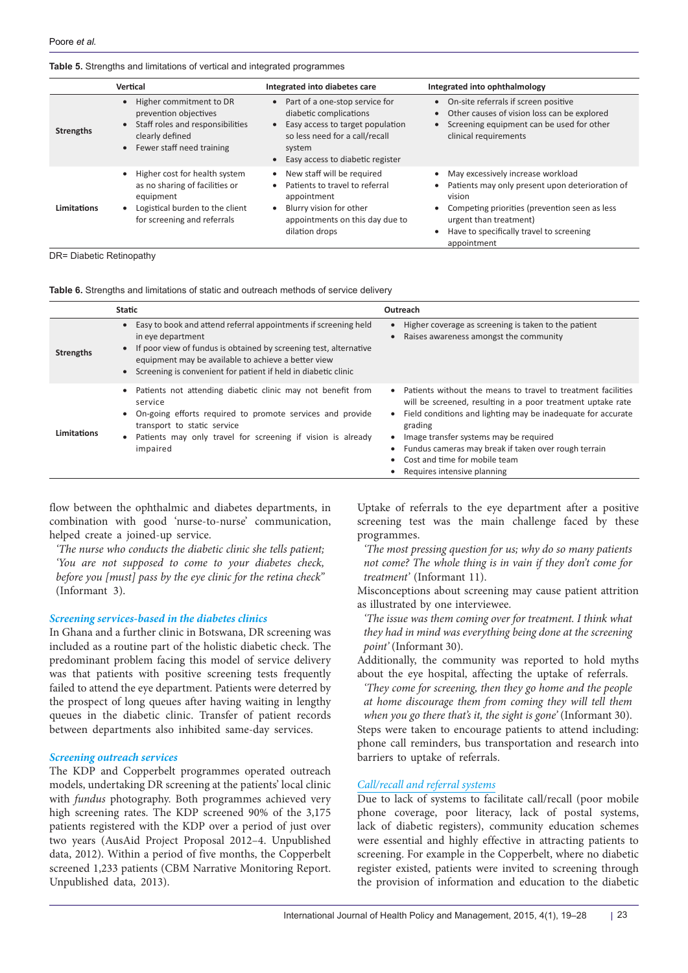#### <span id="page-4-0"></span>**Table 5.** Strengths and limitations of vertical and integrated programmes

|                    | Vertical                                                                                                                                                      | Integrated into diabetes care                                                                                                                                                               | Integrated into ophthalmology                                                                                                                                                                                                        |
|--------------------|---------------------------------------------------------------------------------------------------------------------------------------------------------------|---------------------------------------------------------------------------------------------------------------------------------------------------------------------------------------------|--------------------------------------------------------------------------------------------------------------------------------------------------------------------------------------------------------------------------------------|
| <b>Strengths</b>   | • Higher commitment to DR<br>prevention objectives<br>Staff roles and responsibilities<br>$\bullet$<br>clearly defined<br>• Fewer staff need training         | • Part of a one-stop service for<br>diabetic complications<br>Easy access to target population<br>$\bullet$<br>so less need for a call/recall<br>system<br>Easy access to diabetic register | On-site referrals if screen positive<br>Other causes of vision loss can be explored<br>$\bullet$<br>Screening equipment can be used for other<br>$\bullet$<br>clinical requirements                                                  |
| <b>Limitations</b> | • Higher cost for health system<br>as no sharing of facilities or<br>equipment<br>Logistical burden to the client<br>$\bullet$<br>for screening and referrals | New staff will be required<br>$\bullet$<br>Patients to travel to referral<br>appointment<br>Blurry vision for other<br>$\bullet$<br>appointments on this day due to<br>dilation drops       | May excessively increase workload<br>Patients may only present upon deterioration of<br>vision<br>Competing priorities (prevention seen as less<br>urgent than treatment)<br>Have to specifically travel to screening<br>appointment |

DR= Diabetic Retinopathy

<span id="page-4-1"></span>**Table 6.** Strengths and limitations of static and outreach methods of service delivery

|                  | <b>Static</b>                                                                                                                                                                                                                                                                                                             | Outreach                                                                                                                                                                                                                                                                                                                                                                                                                                  |
|------------------|---------------------------------------------------------------------------------------------------------------------------------------------------------------------------------------------------------------------------------------------------------------------------------------------------------------------------|-------------------------------------------------------------------------------------------------------------------------------------------------------------------------------------------------------------------------------------------------------------------------------------------------------------------------------------------------------------------------------------------------------------------------------------------|
| <b>Strengths</b> | Easy to book and attend referral appointments if screening held<br>$\bullet$<br>in eye department<br>If poor view of fundus is obtained by screening test, alternative<br>$\bullet$<br>equipment may be available to achieve a better view<br>Screening is convenient for patient if held in diabetic clinic<br>$\bullet$ | Higher coverage as screening is taken to the patient<br>$\bullet$<br>Raises awareness amongst the community<br>$\bullet$                                                                                                                                                                                                                                                                                                                  |
| Limitations      | Patients not attending diabetic clinic may not benefit from<br>$\bullet$<br>service<br>• On-going efforts required to promote services and provide<br>transport to static service<br>Patients may only travel for screening if vision is already<br>$\bullet$<br>impaired                                                 | Patients without the means to travel to treatment facilities<br>will be screened, resulting in a poor treatment uptake rate<br>Field conditions and lighting may be inadequate for accurate<br>$\bullet$<br>grading<br>Image transfer systems may be required<br>$\bullet$<br>Fundus cameras may break if taken over rough terrain<br>$\bullet$<br>Cost and time for mobile team<br>$\bullet$<br>Requires intensive planning<br>$\bullet$ |

flow between the ophthalmic and diabetes departments, in combination with good 'nurse-to-nurse' communication, helped create a joined-up service.

*'The nurse who conducts the diabetic clinic she tells patient; 'You are not supposed to come to your diabetes check, before you [must] pass by the eye clinic for the retina check''*  (Informant 3).

#### *Screening services-based in the diabetes clinics*

In Ghana and a further clinic in Botswana, DR screening was included as a routine part of the holistic diabetic check. The predominant problem facing this model of service delivery was that patients with positive screening tests frequently failed to attend the eye department. Patients were deterred by the prospect of long queues after having waiting in lengthy queues in the diabetic clinic. Transfer of patient records between departments also inhibited same-day services.

# *Screening outreach services*

The KDP and Copperbelt programmes operated outreach models, undertaking DR screening at the patients' local clinic with *fundus* photography. Both programmes achieved very high screening rates. The KDP screened 90% of the 3,175 patients registered with the KDP over a period of just over two years (AusAid Project Proposal 2012–4. Unpublished data, 2012). Within a period of five months, the Copperbelt screened 1,233 patients (CBM Narrative Monitoring Report. Unpublished data, 2013).

Uptake of referrals to the eye department after a positive screening test was the main challenge faced by these programmes.

*'The most pressing question for us; why do so many patients not come? The whole thing is in vain if they don't come for treatment'* (Informant 11).

Misconceptions about screening may cause patient attrition as illustrated by one interviewee.

*'The issue was them coming over for treatment. I think what they had in mind was everything being done at the screening point'* (Informant 30).

Additionally, the community was reported to hold myths about the eye hospital, affecting the uptake of referrals.

*'They come for screening, then they go home and the people at home discourage them from coming they will tell them* 

*when you go there that's it, the sight is gone'* (Informant 30). Steps were taken to encourage patients to attend including: phone call reminders, bus transportation and research into barriers to uptake of referrals.

#### *Call/recall and referral systems*

Due to lack of systems to facilitate call/recall (poor mobile phone coverage, poor literacy, lack of postal systems, lack of diabetic registers), community education schemes were essential and highly effective in attracting patients to screening. For example in the Copperbelt, where no diabetic register existed, patients were invited to screening through the provision of information and education to the diabetic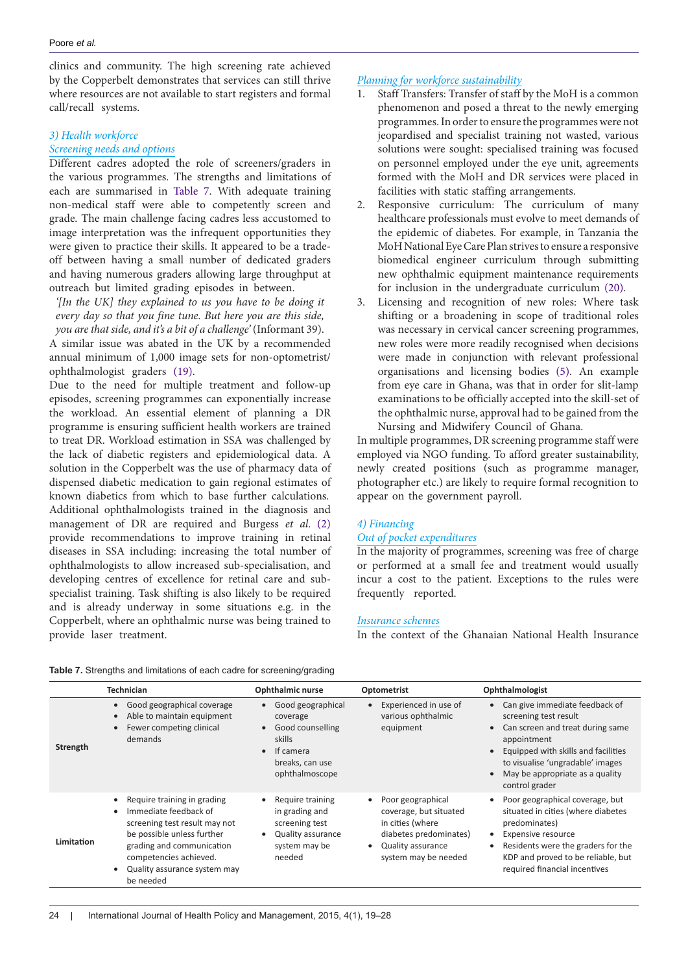clinics and community. The high screening rate achieved by the Copperbelt demonstrates that services can still thrive where resources are not available to start registers and formal call/recall systems.

#### *3) Health workforce*

# *Screening needs and options*

Different cadres adopted the role of screeners/graders in the various programmes. The strengths and limitations of each are summarised in [Table 7](#page-5-0). With adequate training non-medical staff were able to competently screen and grade. The main challenge facing cadres less accustomed to image interpretation was the infrequent opportunities they were given to practice their skills. It appeared to be a tradeoff between having a small number of dedicated graders and having numerous graders allowing large throughput at outreach but limited grading episodes in between.

*'[In the UK] they explained to us you have to be doing it every day so that you fine tune. But here you are this side, you are that side, and it's a bit of a challenge'* (Informant 39).

A similar issue was abated in the UK by a recommended annual minimum of 1,000 image sets for non-optometrist/ ophthalmologist graders ([19](#page-9-12)).

Due to the need for multiple treatment and follow-up episodes, screening programmes can exponentially increase the workload. An essential element of planning a DR programme is ensuring sufficient health workers are trained to treat DR. Workload estimation in SSA was challenged by the lack of diabetic registers and epidemiological data. A solution in the Copperbelt was the use of pharmacy data of dispensed diabetic medication to gain regional estimates of known diabetics from which to base further calculations. Additional ophthalmologists trained in the diagnosis and management of DR are required and Burgess *et al*. [\(2\)](#page-8-4) provide recommendations to improve training in retinal diseases in SSA including: increasing the total number of ophthalmologists to allow increased sub-specialisation, and developing centres of excellence for retinal care and subspecialist training. Task shifting is also likely to be required and is already underway in some situations e.g. in the Copperbelt, where an ophthalmic nurse was being trained to provide laser treatment.

# *Planning for workforce sustainability*

- 1. Staff Transfers: Transfer of staff by the MoH is a common phenomenon and posed a threat to the newly emerging programmes. In order to ensure the programmes were not jeopardised and specialist training not wasted, various solutions were sought: specialised training was focused on personnel employed under the eye unit, agreements formed with the MoH and DR services were placed in facilities with static staffing arrangements.
- 2. Responsive curriculum: The curriculum of many healthcare professionals must evolve to meet demands of the epidemic of diabetes. For example, in Tanzania the MoH National Eye Care Plan strives to ensure a responsive biomedical engineer curriculum through submitting new ophthalmic equipment maintenance requirements for inclusion in the undergraduate curriculum ([20](#page-9-13)).
- 3. Licensing and recognition of new roles: Where task shifting or a broadening in scope of traditional roles was necessary in cervical cancer screening programmes, new roles were more readily recognised when decisions were made in conjunction with relevant professional organisations and licensing bodies ([5](#page-8-7)). An example from eye care in Ghana, was that in order for slit-lamp examinations to be officially accepted into the skill-set of the ophthalmic nurse, approval had to be gained from the Nursing and Midwifery Council of Ghana.

In multiple programmes, DR screening programme staff were employed via NGO funding. To afford greater sustainability, newly created positions (such as programme manager, photographer etc.) are likely to require formal recognition to appear on the government payroll.

# *4) Financing*

# *Out of pocket expenditures*

In the majority of programmes, screening was free of charge or performed at a small fee and treatment would usually incur a cost to the patient. Exceptions to the rules were frequently reported.

#### *Insurance schemes*

In the context of the Ghanaian National Health Insurance

<span id="page-5-0"></span>

|  |  |  | Table 7. Strengths and limitations of each cadre for screening/grading |  |  |  |  |  |  |  |  |
|--|--|--|------------------------------------------------------------------------|--|--|--|--|--|--|--|--|
|--|--|--|------------------------------------------------------------------------|--|--|--|--|--|--|--|--|

|            | <b>Technician</b>                                                                                                                                                                                                       | <b>Ophthalmic nurse</b>                                                                                                    | <b>Optometrist</b>                                                                                                                                               | Ophthalmologist                                                                                                                                                                                                                            |
|------------|-------------------------------------------------------------------------------------------------------------------------------------------------------------------------------------------------------------------------|----------------------------------------------------------------------------------------------------------------------------|------------------------------------------------------------------------------------------------------------------------------------------------------------------|--------------------------------------------------------------------------------------------------------------------------------------------------------------------------------------------------------------------------------------------|
| Strength   | Good geographical coverage<br>$\bullet$<br>Able to maintain equipment<br>Fewer competing clinical<br>$\bullet$<br>demands                                                                                               | Good geographical<br>coverage<br>Good counselling<br>skills<br>If camera<br>$\bullet$<br>breaks, can use<br>ophthalmoscope | Experienced in use of<br>$\bullet$<br>various ophthalmic<br>equipment                                                                                            | Can give immediate feedback of<br>screening test result<br>Can screen and treat during same<br>appointment<br>Equipped with skills and facilities<br>to visualise 'ungradable' images<br>May be appropriate as a quality<br>control grader |
| Limitation | Require training in grading<br>Immediate feedback of<br>screening test result may not<br>be possible unless further<br>grading and communication<br>competencies achieved.<br>Quality assurance system may<br>be needed | Require training<br>in grading and<br>screening test<br><b>Quality assurance</b><br>system may be<br>needed                | Poor geographical<br>$\bullet$<br>coverage, but situated<br>in cities (where<br>diabetes predominates)<br>Quality assurance<br>$\bullet$<br>system may be needed | Poor geographical coverage, but<br>situated in cities (where diabetes<br>predominates)<br>Expensive resource<br>Residents were the graders for the<br>KDP and proved to be reliable, but<br>required financial incentives                  |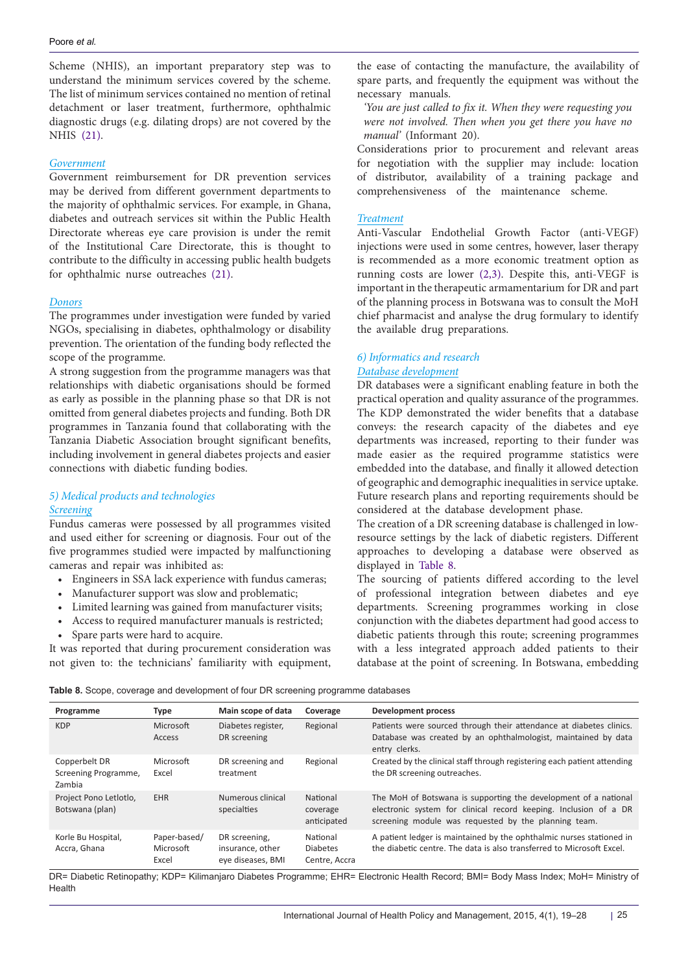Scheme (NHIS), an important preparatory step was to understand the minimum services covered by the scheme. The list of minimum services contained no mention of retinal detachment or laser treatment, furthermore, ophthalmic diagnostic drugs (e.g. dilating drops) are not covered by the NHIS [\(21\)](#page-9-14).

# *Government*

Government reimbursement for DR prevention services may be derived from different government departments to the majority of ophthalmic services. For example, in Ghana, diabetes and outreach services sit within the Public Health Directorate whereas eye care provision is under the remit of the Institutional Care Directorate, this is thought to contribute to the difficulty in accessing public health budgets for ophthalmic nurse outreaches [\(21](#page-9-14)).

# *Donors*

The programmes under investigation were funded by varied NGOs, specialising in diabetes, ophthalmology or disability prevention. The orientation of the funding body reflected the scope of the programme.

A strong suggestion from the programme managers was that relationships with diabetic organisations should be formed as early as possible in the planning phase so that DR is not omitted from general diabetes projects and funding. Both DR programmes in Tanzania found that collaborating with the Tanzania Diabetic Association brought significant benefits, including involvement in general diabetes projects and easier connections with diabetic funding bodies.

# *5) Medical products and technologies Screening*

Fundus cameras were possessed by all programmes visited and used either for screening or diagnosis. Four out of the five programmes studied were impacted by malfunctioning cameras and repair was inhibited as:

- Engineers in SSA lack experience with fundus cameras;
- Manufacturer support was slow and problematic;
- Limited learning was gained from manufacturer visits;
- Access to required manufacturer manuals is restricted;
- Spare parts were hard to acquire.

It was reported that during procurement consideration was not given to: the technicians' familiarity with equipment, the ease of contacting the manufacture, the availability of spare parts, and frequently the equipment was without the necessary manuals.

*'You are just called to fix it. When they were requesting you were not involved. Then when you get there you have no manual'* (Informant 20).

Considerations prior to procurement and relevant areas for negotiation with the supplier may include: location of distributor, availability of a training package and comprehensiveness of the maintenance scheme.

# *Treatment*

Anti-Vascular Endothelial Growth Factor (anti-VEGF) injections were used in some centres, however, laser therapy is recommended as a more economic treatment option as running costs are lower [\(2](#page-8-4)[,3](#page-8-5)). Despite this, anti-VEGF is important in the therapeutic armamentarium for DR and part of the planning process in Botswana was to consult the MoH chief pharmacist and analyse the drug formulary to identify the available drug preparations.

# *6) Informatics and research*

# *Database development*

DR databases were a significant enabling feature in both the practical operation and quality assurance of the programmes. The KDP demonstrated the wider benefits that a database conveys: the research capacity of the diabetes and eye departments was increased, reporting to their funder was made easier as the required programme statistics were embedded into the database, and finally it allowed detection of geographic and demographic inequalities in service uptake. Future research plans and reporting requirements should be considered at the database development phase.

The creation of a DR screening database is challenged in lowresource settings by the lack of diabetic registers. Different approaches to developing a database were observed as displayed in [Table 8.](#page-6-0)

The sourcing of patients differed according to the level of professional integration between diabetes and eye departments. Screening programmes working in close conjunction with the diabetes department had good access to diabetic patients through this route; screening programmes with a less integrated approach added patients to their database at the point of screening. In Botswana, embedding

<span id="page-6-0"></span>

| Table 8. Scope, coverage and development of four DR screening programme databases |  |  |  |
|-----------------------------------------------------------------------------------|--|--|--|
|-----------------------------------------------------------------------------------|--|--|--|

| Programme                                       | Type                               | Main scope of data                                     | Coverage                                     | <b>Development process</b>                                                                                                                                                                  |
|-------------------------------------------------|------------------------------------|--------------------------------------------------------|----------------------------------------------|---------------------------------------------------------------------------------------------------------------------------------------------------------------------------------------------|
| <b>KDP</b>                                      | Microsoft<br>Access                | Diabetes register,<br>DR screening                     | Regional                                     | Patients were sourced through their attendance at diabetes clinics.<br>Database was created by an ophthalmologist, maintained by data<br>entry clerks.                                      |
| Copperbelt DR<br>Screening Programme,<br>Zambia | Microsoft<br>Excel                 | DR screening and<br>treatment                          | Regional                                     | Created by the clinical staff through registering each patient attending<br>the DR screening outreaches.                                                                                    |
| Project Pono Letlotlo,<br>Botswana (plan)       | <b>EHR</b>                         | Numerous clinical<br>specialties                       | National<br>coverage<br>anticipated          | The MoH of Botswana is supporting the development of a national<br>electronic system for clinical record keeping. Inclusion of a DR<br>screening module was requested by the planning team. |
| Korle Bu Hospital,<br>Accra, Ghana              | Paper-based/<br>Microsoft<br>Excel | DR screening,<br>insurance, other<br>eye diseases, BMI | National<br><b>Diabetes</b><br>Centre, Accra | A patient ledger is maintained by the ophthalmic nurses stationed in<br>the diabetic centre. The data is also transferred to Microsoft Excel.                                               |

DR= Diabetic Retinopathy; KDP= Kilimanjaro Diabetes Programme; EHR= Electronic Health Record; BMI= Body Mass Index; MoH= Ministry of Health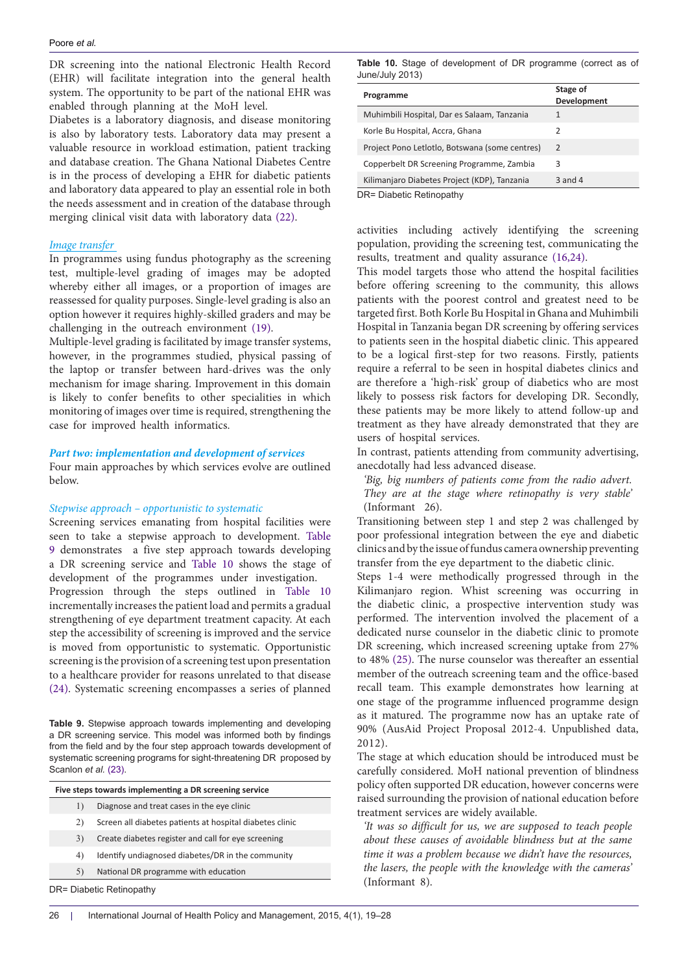#### Poore *et al.*

DR screening into the national Electronic Health Record (EHR) will facilitate integration into the general health system. The opportunity to be part of the national EHR was enabled through planning at the MoH level.

Diabetes is a laboratory diagnosis, and disease monitoring is also by laboratory tests. Laboratory data may present a valuable resource in workload estimation, patient tracking and database creation. The Ghana National Diabetes Centre is in the process of developing a EHR for diabetic patients and laboratory data appeared to play an essential role in both the needs assessment and in creation of the database through merging clinical visit data with laboratory data [\(22\)](#page-9-15).

# *Image transfer*

In programmes using fundus photography as the screening test, multiple-level grading of images may be adopted whereby either all images, or a proportion of images are reassessed for quality purposes. Single-level grading is also an option however it requires highly-skilled graders and may be challenging in the outreach environment [\(19\)](#page-9-12).

Multiple-level grading is facilitated by image transfer systems, however, in the programmes studied, physical passing of the laptop or transfer between hard-drives was the only mechanism for image sharing. Improvement in this domain is likely to confer benefits to other specialities in which monitoring of images over time is required, strengthening the case for improved health informatics.

# *Part two: implementation and development of services*

Four main approaches by which services evolve are outlined below.

#### *Stepwise approach – opportunistic to systematic*

Screening services emanating from hospital facilities were seen to take a stepwise approach to development. [Table](#page-7-0) [9](#page-7-0) demonstrates a five step approach towards developing a DR screening service and [Table 10 s](#page-7-1)hows the stage of development of the programmes under investigation. Progression through the steps outlined in [Table 10](#page-7-1) incrementally increases the patient load and permits a gradual strengthening of eye department treatment capacity. At each step the accessibility of screening is improved and the service is moved from opportunistic to systematic. Opportunistic screening is the provision of a screening test upon presentation to a healthcare provider for reasons unrelated to that disease ([24\)](#page-9-16). Systematic screening encompasses a series of planned

<span id="page-7-0"></span>**Table 9.** Stepwise approach towards implementing and developing a DR screening service. This model was informed both by findings from the field and by the four step approach towards development of systematic screening programs for sight-threatening DR proposed by Scanlon *et al.* ([23\)](#page-9-17).

| Five steps towards implementing a DR screening service                                                                               |                                                          |  |  |  |
|--------------------------------------------------------------------------------------------------------------------------------------|----------------------------------------------------------|--|--|--|
| 1)                                                                                                                                   | Diagnose and treat cases in the eye clinic               |  |  |  |
| 2)                                                                                                                                   | Screen all diabetes patients at hospital diabetes clinic |  |  |  |
| 3)                                                                                                                                   | Create diabetes register and call for eye screening      |  |  |  |
| 4)                                                                                                                                   | Identify undiagnosed diabetes/DR in the community        |  |  |  |
| 5)                                                                                                                                   | National DR programme with education                     |  |  |  |
| $\mathbf{D} \mathbf{D}$ $\mathbf{D}$ : $\mathbf{L} \cdot \mathbf{L}$ : $\mathbf{D} \cdot \mathbf{L}$ : $\mathbf{L} \cdot \mathbf{L}$ |                                                          |  |  |  |

DR= Diabetic Retinopathy

<span id="page-7-1"></span>**Table 10.** Stage of development of DR programme (correct as of June/July 2013)

| Programme                                      | Stage of<br>Development |
|------------------------------------------------|-------------------------|
| Muhimbili Hospital, Dar es Salaam, Tanzania    | 1                       |
| Korle Bu Hospital, Accra, Ghana                | 2                       |
| Project Pono Letlotlo, Botswana (some centres) | 2                       |
| Copperbelt DR Screening Programme, Zambia      | 3                       |
| Kilimanjaro Diabetes Project (KDP), Tanzania   | $3$ and $4$             |
| NP= Nighatic Patinongthy                       |                         |

DR= Diabetic Retinopathy

activities including actively identifying the screening population, providing the screening test, communicating the results, treatment and quality assurance [\(16](#page-9-9)[,24\)](#page-9-16).

This model targets those who attend the hospital facilities before offering screening to the community, this allows patients with the poorest control and greatest need to be targeted first. Both Korle Bu Hospital in Ghana and Muhimbili Hospital in Tanzania began DR screening by offering services to patients seen in the hospital diabetic clinic. This appeared to be a logical first-step for two reasons. Firstly, patients require a referral to be seen in hospital diabetes clinics and are therefore a 'high-risk' group of diabetics who are most likely to possess risk factors for developing DR. Secondly, these patients may be more likely to attend follow-up and treatment as they have already demonstrated that they are users of hospital services.

In contrast, patients attending from community advertising, anecdotally had less advanced disease.

*'Big, big numbers of patients come from the radio advert. They are at the stage where retinopathy is very stable'*  (Informant 26).

Transitioning between step 1 and step 2 was challenged by poor professional integration between the eye and diabetic clinics and by the issue of fundus camera ownership preventing transfer from the eye department to the diabetic clinic.

Steps 1-4 were methodically progressed through in the Kilimanjaro region. Whist screening was occurring in the diabetic clinic, a prospective intervention study was performed. The intervention involved the placement of a dedicated nurse counselor in the diabetic clinic to promote DR screening, which increased screening uptake from 27% to 48% [\(25\)](#page-9-18). The nurse counselor was thereafter an essential member of the outreach screening team and the office-based recall team. This example demonstrates how learning at one stage of the programme influenced programme design as it matured. The programme now has an uptake rate of 90% (AusAid Project Proposal 2012-4. Unpublished data, 2012).

The stage at which education should be introduced must be carefully considered. MoH national prevention of blindness policy often supported DR education, however concerns were raised surrounding the provision of national education before treatment services are widely available.

*'It was so difficult for us, we are supposed to teach people about these causes of avoidable blindness but at the same time it was a problem because we didn't have the resources, the lasers, the people with the knowledge with the cameras'*  (Informant 8).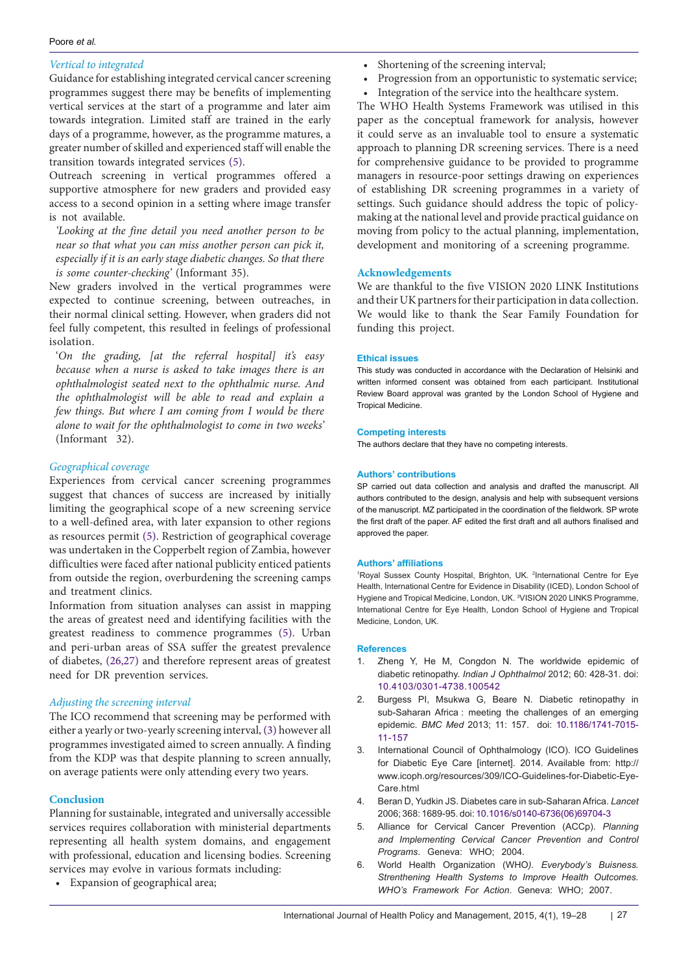# Poore *et al.*

# *Vertical to integrated*

Guidance for establishing integrated cervical cancer screening programmes suggest there may be benefits of implementing vertical services at the start of a programme and later aim towards integration. Limited staff are trained in the early days of a programme, however, as the programme matures, a greater number of skilled and experienced staff will enable the transition towards integrated services ([5](#page-8-7)).

Outreach screening in vertical programmes offered a supportive atmosphere for new graders and provided easy access to a second opinion in a setting where image transfer is not available.

*'Looking at the fine detail you need another person to be near so that what you can miss another person can pick it, especially if it is an early stage diabetic changes. So that there is some counter-checking'* (Informant 35).

New graders involved in the vertical programmes were expected to continue screening, between outreaches, in their normal clinical setting. However, when graders did not feel fully competent, this resulted in feelings of professional isolation.

'*On the grading, [at the referral hospital] it's easy because when a nurse is asked to take images there is an ophthalmologist seated next to the ophthalmic nurse. And the ophthalmologist will be able to read and explain a few things. But where I am coming from I would be there alone to wait for the ophthalmologist to come in two weeks'* (Informant 32).

# *Geographical coverage*

Experiences from cervical cancer screening programmes suggest that chances of success are increased by initially limiting the geographical scope of a new screening service to a well-defined area, with later expansion to other regions as resources permit ([5\)](#page-8-7). Restriction of geographical coverage was undertaken in the Copperbelt region of Zambia, however difficulties were faced after national publicity enticed patients from outside the region, overburdening the screening camps and treatment clinics.

Information from situation analyses can assist in mapping the areas of greatest need and identifying facilities with the greatest readiness to commence programmes ([5](#page-8-7)). Urban and peri-urban areas of SSA suffer the greatest prevalence of diabetes, [\(26,](#page-9-18)[27\)](#page-9-19) and therefore represent areas of greatest need for DR prevention services.

# *Adjusting the screening interval*

The ICO recommend that screening may be performed with either a yearly or two-yearly screening interval, [\(3](#page-8-5)) however all programmes investigated aimed to screen annually. A finding from the KDP was that despite planning to screen annually, on average patients were only attending every two years.

# **Conclusion**

Planning for sustainable, integrated and universally accessible services requires collaboration with ministerial departments representing all health system domains, and engagement with professional, education and licensing bodies. Screening services may evolve in various formats including:

• Expansion of geographical area;

- Shortening of the screening interval;
- Progression from an opportunistic to systematic service;
- Integration of the service into the healthcare system.

The WHO Health Systems Framework was utilised in this paper as the conceptual framework for analysis, however it could serve as an invaluable tool to ensure a systematic approach to planning DR screening services. There is a need for comprehensive guidance to be provided to programme managers in resource-poor settings drawing on experiences of establishing DR screening programmes in a variety of settings. Such guidance should address the topic of policymaking at the national level and provide practical guidance on moving from policy to the actual planning, implementation, development and monitoring of a screening programme.

# **Acknowledgements**

We are thankful to the five VISION 2020 LINK Institutions and their UK partners for their participation in data collection. We would like to thank the Sear Family Foundation for funding this project.

# **Ethical issues**

This study was conducted in accordance with the Declaration of Helsinki and written informed consent was obtained from each participant. Institutional Review Board approval was granted by the London School of Hygiene and Tropical Medicine.

# **Competing interests**

The authors declare that they have no competing interests.

# **Authors' contributions**

SP carried out data collection and analysis and drafted the manuscript. All authors contributed to the design, analysis and help with subsequent versions of the manuscript. MZ participated in the coordination of the fieldwork. SP wrote the first draft of the paper. AF edited the first draft and all authors finalised and approved the paper.

# <span id="page-8-1"></span>**Authors' affiliations**

<span id="page-8-2"></span><span id="page-8-0"></span><sup>1</sup>Royal Sussex County Hospital, Brighton, UK. <sup>2</sup>International Centre for Eye Health, International Centre for Evidence in Disability (ICED), London School of Hygiene and Tropical Medicine, London, UK. <sup>3</sup>VISION 2020 LINKS Programme, International Centre for Eye Health, London School of Hygiene and Tropical Medicine, London, UK.

# **References**

- <span id="page-8-3"></span>1. Zheng Y, He M, Congdon N. The worldwide epidemic of diabetic retinopathy. *Indian J Ophthalmol* 2012; 60: 428-31. doi: [10.4103/0301-4738.100542](http://dx.doi.org/10.4103/0301-4738.100542)
- <span id="page-8-4"></span>2. Burgess PI, Msukwa G, Beare N. Diabetic retinopathy in sub-Saharan Africa : meeting the challenges of an emerging epidemic. *BMC Med* 2013; 11: 157. doi: [10.1186/1741-7015-](http://dx.doi.org/10.1186/1741-7015-11-157) [11-157](http://dx.doi.org/10.1186/1741-7015-11-157)
- <span id="page-8-5"></span>3. International Council of Ophthalmology (ICO). ICO Guidelines for Diabetic Eye Care [internet]. 2014. Available from: [http://](http://www.icoph.org/resources/309/ICO-Guidelines-for-Diabetic-Eye-Care.html) [www.icoph.org/resources/](http://www.icoph.org/resources/309/ICO-Guidelines-for-Diabetic-Eye-Care.html)309/ICO-Guidelines-for-Diabetic-Eye-[Care.html](http://www.icoph.org/resources/309/ICO-Guidelines-for-Diabetic-Eye-Care.html)
- <span id="page-8-6"></span>4. Beran D, Yudkin JS. Diabetes care in sub-Saharan Africa. *Lancet* 2006; 368: 1689-95. doi: [10.1016/s0140-6736\(06\)69704-3](http://dx.doi.org/10.1016/s0140-6736(06)69704-3)
- <span id="page-8-7"></span>5. Alliance for Cervical Cancer Prevention (ACCp). *Planning and Implementing Cervical Cancer Prevention and Control Programs*. Geneva: WHO; 2004.
- <span id="page-8-8"></span>6. World Health Organization (WHO*). Everybody's Buisness. Strenthening Health Systems to Improve Health Outcomes. WHO's Framework For Action*. Geneva: WHO; 2007.